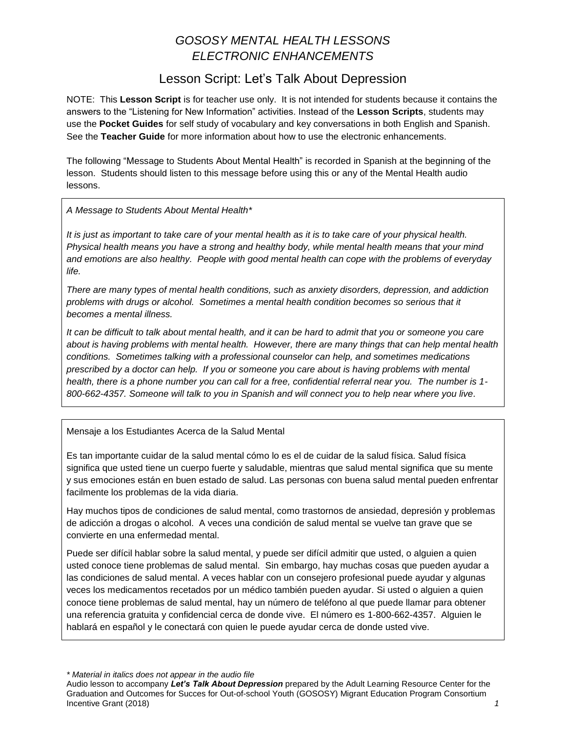# *GOSOSY MENTAL HEALTH LESSONS ELECTRONIC ENHANCEMENTS*

## Lesson Script: Let's Talk About Depression

NOTE: This **Lesson Script** is for teacher use only. It is not intended for students because it contains the answers to the "Listening for New Information" activities. Instead of the **Lesson Scripts**, students may use the **Pocket Guides** for self study of vocabulary and key conversations in both English and Spanish. See the **Teacher Guide** for more information about how to use the electronic enhancements.

The following "Message to Students About Mental Health" is recorded in Spanish at the beginning of the lesson. Students should listen to this message before using this or any of the Mental Health audio lessons.

*A Message to Students About Mental Health\**

*It is just as important to take care of your mental health as it is to take care of your physical health. Physical health means you have a strong and healthy body, while mental health means that your mind and emotions are also healthy. People with good mental health can cope with the problems of everyday life.*

*There are many types of mental health conditions, such as anxiety disorders, depression, and addiction problems with drugs or alcohol. Sometimes a mental health condition becomes so serious that it becomes a mental illness.* 

*It can be difficult to talk about mental health, and it can be hard to admit that you or someone you care about is having problems with mental health. However, there are many things that can help mental health conditions. Sometimes talking with a professional counselor can help, and sometimes medications prescribed by a doctor can help. If you or someone you care about is having problems with mental health, there is a phone number you can call for a free, confidential referral near you. The number is 1- 800-662-4357. Someone will talk to you in Spanish and will connect you to help near where you live.*

Mensaje a los Estudiantes Acerca de la Salud Mental

Es tan importante cuidar de la salud mental cómo lo es el de cuidar de la salud física. Salud física significa que usted tiene un cuerpo fuerte y saludable, mientras que salud mental significa que su mente y sus emociones están en buen estado de salud. Las personas con buena salud mental pueden enfrentar facilmente los problemas de la vida diaria.

Hay muchos tipos de condiciones de salud mental, como trastornos de ansiedad, depresión y problemas de adicción a drogas o alcohol. A veces una condición de salud mental se vuelve tan grave que se convierte en una enfermedad mental.

Puede ser difícil hablar sobre la salud mental, y puede ser difícil admitir que usted, o alguien a quien usted conoce tiene problemas de salud mental. Sin embargo, hay muchas cosas que pueden ayudar a las condiciones de salud mental. A veces hablar con un consejero profesional puede ayudar y algunas veces los medicamentos recetados por un médico también pueden ayudar. Si usted o alguien a quien conoce tiene problemas de salud mental, hay un número de teléfono al que puede llamar para obtener una referencia gratuita y confidencial cerca de donde vive. El número es 1-800-662-4357. Alguien le hablará en español y le conectará con quien le puede ayudar cerca de donde usted vive.

*\* Material in italics does not appear in the audio file*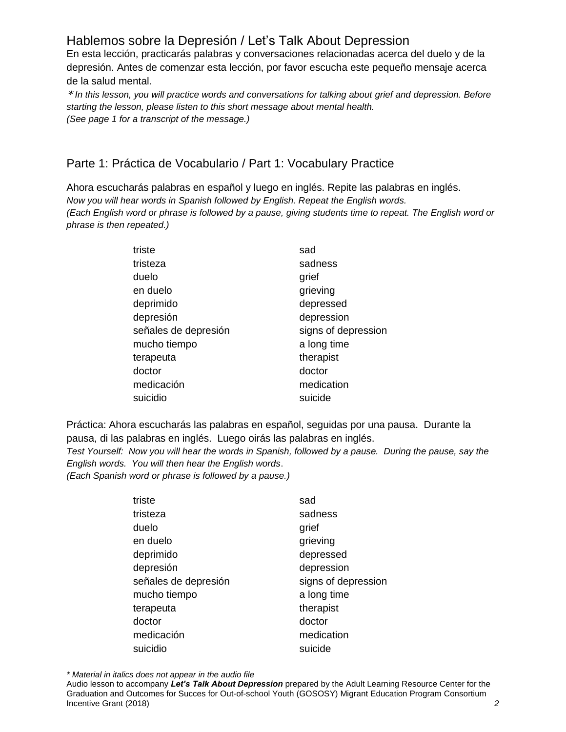# Hablemos sobre la Depresión / Let's Talk About Depression

En esta lección, practicarás palabras y conversaciones relacionadas acerca del duelo y de la depresión. Antes de comenzar esta lección, por favor escucha este pequeño mensaje acerca de la salud mental.

\* *In this lesson, you will practice words and conversations for talking about grief and depression. Before starting the lesson, please listen to this short message about mental health. (See page 1 for a transcript of the message.)* 

### Parte 1: Práctica de Vocabulario / Part 1: Vocabulary Practice

Ahora escucharás palabras en español y luego en inglés. Repite las palabras en inglés. *Now you will hear words in Spanish followed by English. Repeat the English words. (Each English word or phrase is followed by a pause, giving students time to repeat. The English word or phrase is then repeated.)*

| triste               | sad                 |
|----------------------|---------------------|
| tristeza             | sadness             |
| duelo                | grief               |
| en duelo             | grieving            |
| deprimido            | depressed           |
| depresión            | depression          |
| señales de depresión | signs of depression |
| mucho tiempo         | a long time         |
| terapeuta            | therapist           |
| doctor               | doctor              |
| medicación           | medication          |
| suicidio             | suicide             |

Práctica: Ahora escucharás las palabras en español, seguidas por una pausa. Durante la pausa, di las palabras en inglés. Luego oirás las palabras en inglés.

*Test Yourself: Now you will hear the words in Spanish, followed by a pause. During the pause, say the English words. You will then hear the English words*.

*(Each Spanish word or phrase is followed by a pause.)*

| triste               | sad                 |
|----------------------|---------------------|
| tristeza             | sadness             |
| duelo                | grief               |
| en duelo             | grieving            |
| deprimido            | depressed           |
| depresión            | depression          |
| señales de depresión | signs of depression |
| mucho tiempo         | a long time         |
| terapeuta            | therapist           |
| doctor               | doctor              |
| medicación           | medication          |
| suicidio             | suicide             |
|                      |                     |

*\* Material in italics does not appear in the audio file*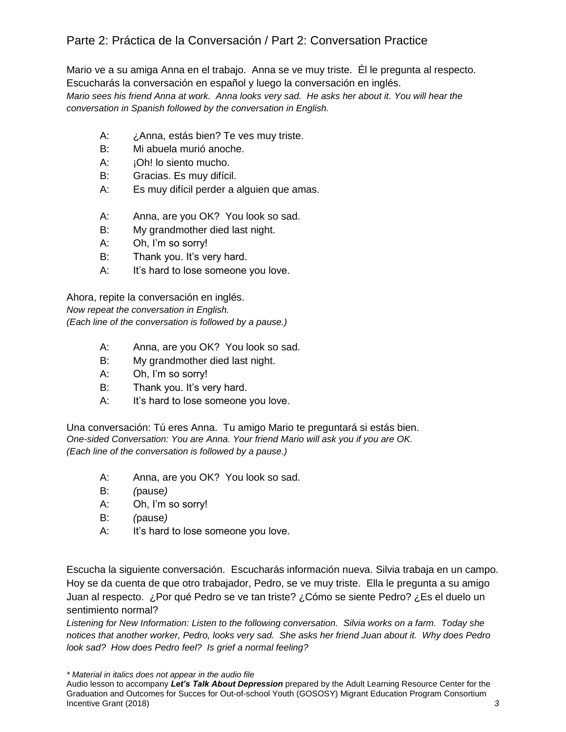## Parte 2: Práctica de la Conversación / Part 2: Conversation Practice

Mario ve a su amiga Anna en el trabajo. Anna se ve muy triste. Él le pregunta al respecto. Escucharás la conversación en español y luego la conversación en inglés. *Mario sees his friend Anna at work. Anna looks very sad. He asks her about it. You will hear the conversation in Spanish followed by the conversation in English.* 

- A: ¿Anna, estás bien? Te ves muy triste.
- B: Mi abuela murió anoche.
- A: **iOh!** lo siento mucho.
- B: Gracias. Es muy difícil.
- A: Es muy difícil perder a alguien que amas.
- A: Anna, are you OK? You look so sad.
- B: My grandmother died last night.
- A: Oh, I'm so sorry!
- B: Thank you. It's very hard.
- A: It's hard to lose someone you love.

Ahora, repite la conversación en inglés. *Now repeat the conversation in English. (Each line of the conversation is followed by a pause.)*

- A: Anna, are you OK? You look so sad.
- B: My grandmother died last night.
- A: Oh, I'm so sorry!
- B: Thank you. It's very hard.
- A: It's hard to lose someone you love.

Una conversación: Tú eres Anna. Tu amigo Mario te preguntará si estás bien. *One-sided Conversation: You are Anna. Your friend Mario will ask you if you are OK. (Each line of the conversation is followed by a pause.)*

- A: Anna, are you OK? You look so sad.
- B: *(*pause*)*
- A: Oh, I'm so sorry!
- B: *(*pause*)*
- A: It's hard to lose someone you love.

Escucha la siguiente conversación. Escucharás información nueva. Silvia trabaja en un campo. Hoy se da cuenta de que otro trabajador, Pedro, se ve muy triste. Ella le pregunta a su amigo Juan al respecto. ¿Por qué Pedro se ve tan triste? ¿Cómo se siente Pedro? ¿Es el duelo un sentimiento normal?

*Listening for New Information: Listen to the following conversation. Silvia works on a farm. Today she notices that another worker, Pedro, looks very sad. She asks her friend Juan about it. Why does Pedro look sad? How does Pedro feel? Is grief a normal feeling?* 

*\* Material in italics does not appear in the audio file*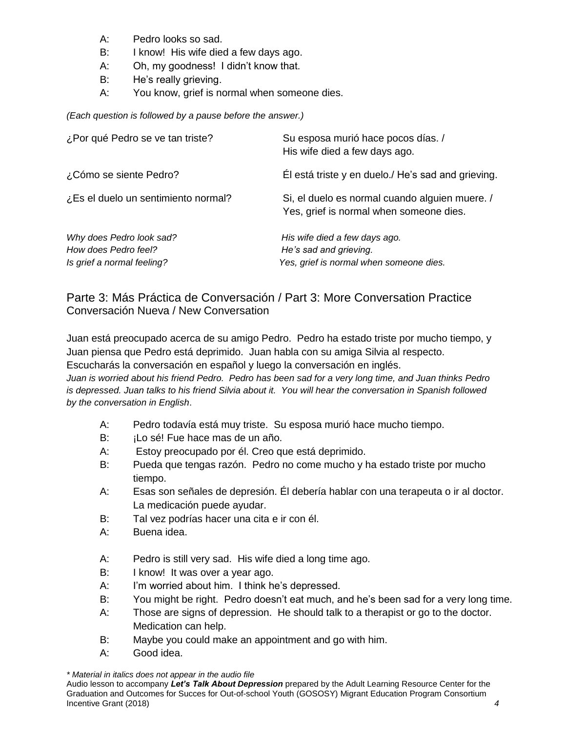- A: Pedro looks so sad.
- B: I know! His wife died a few days ago.
- A: Oh, my goodness! I didn't know that.
- B: He's really grieving.
- A: You know, grief is normal when someone dies.

*(Each question is followed by a pause before the answer.)*

| ¿Por qué Pedro se ve tan triste?                                               | Su esposa murió hace pocos días. /<br>His wife died a few days ago.                                |
|--------------------------------------------------------------------------------|----------------------------------------------------------------------------------------------------|
| ¿Cómo se siente Pedro?                                                         | El está triste y en duelo./ He's sad and grieving.                                                 |
| ¿Es el duelo un sentimiento normal?                                            | Si, el duelo es normal cuando alguien muere. /<br>Yes, grief is normal when someone dies.          |
| Why does Pedro look sad?<br>How does Pedro feel?<br>Is grief a normal feeling? | His wife died a few days ago.<br>He's sad and grieving.<br>Yes, grief is normal when someone dies. |

#### Parte 3: Más Práctica de Conversación / Part 3: More Conversation Practice Conversación Nueva / New Conversation

Juan está preocupado acerca de su amigo Pedro. Pedro ha estado triste por mucho tiempo, y Juan piensa que Pedro está deprimido. Juan habla con su amiga Silvia al respecto. Escucharás la conversación en español y luego la conversación en inglés.

*Juan is worried about his friend Pedro. Pedro has been sad for a very long time, and Juan thinks Pedro is depressed. Juan talks to his friend Silvia about it. You will hear the conversation in Spanish followed by the conversation in English*.

- A: Pedro todavía está muy triste. Su esposa murió hace mucho tiempo.
- B: **iLo sé! Fue hace mas de un año.**
- A: Estoy preocupado por él. Creo que está deprimido.
- B: Pueda que tengas razón. Pedro no come mucho y ha estado triste por mucho tiempo.
- A: Esas son señales de depresión. Él debería hablar con una terapeuta o ir al doctor. La medicación puede ayudar.
- B: Tal vez podrías hacer una cita e ir con él.
- A: Buena idea.
- A: Pedro is still very sad. His wife died a long time ago.
- B: I know! It was over a year ago.
- A: I'm worried about him. I think he's depressed.
- B: You might be right. Pedro doesn't eat much, and he's been sad for a very long time.
- A: Those are signs of depression. He should talk to a therapist or go to the doctor. Medication can help.
- B: Maybe you could make an appointment and go with him.
- A: Good idea.

*\* Material in italics does not appear in the audio file*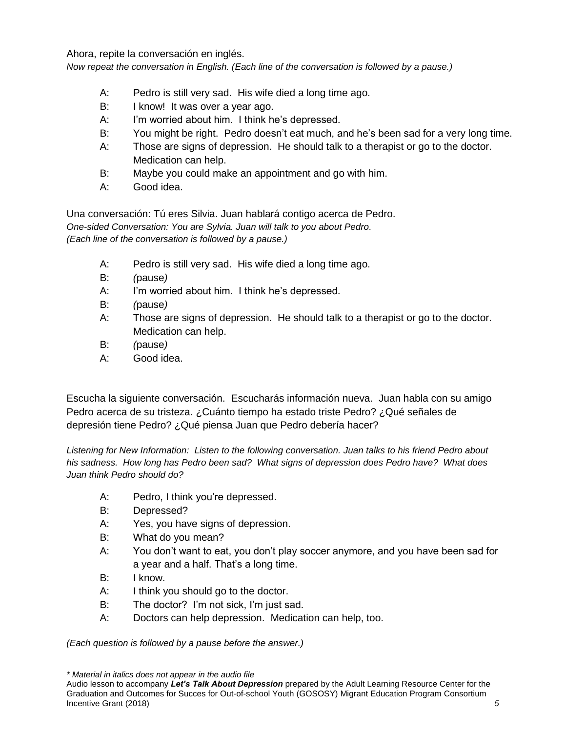Ahora, repite la conversación en inglés.

*Now repeat the conversation in English. (Each line of the conversation is followed by a pause.)*

- A: Pedro is still very sad. His wife died a long time ago.
- B: I know! It was over a year ago.
- A: I'm worried about him. I think he's depressed.
- B: You might be right. Pedro doesn't eat much, and he's been sad for a very long time.
- A: Those are signs of depression. He should talk to a therapist or go to the doctor. Medication can help.
- B: Maybe you could make an appointment and go with him.
- A: Good idea.

Una conversación: Tú eres Silvia. Juan hablará contigo acerca de Pedro. *One-sided Conversation: You are Sylvia. Juan will talk to you about Pedro. (Each line of the conversation is followed by a pause.)*

- A: Pedro is still very sad. His wife died a long time ago.
- B: *(*pause*)*
- A: I'm worried about him. I think he's depressed.
- B: *(*pause*)*
- A: Those are signs of depression. He should talk to a therapist or go to the doctor. Medication can help.
- B: *(*pause*)*
- A: Good idea.

Escucha la siguiente conversación. Escucharás información nueva. Juan habla con su amigo Pedro acerca de su tristeza. ¿Cuánto tiempo ha estado triste Pedro? ¿Qué señales de depresión tiene Pedro? ¿Qué piensa Juan que Pedro debería hacer?

*Listening for New Information: Listen to the following conversation. Juan talks to his friend Pedro about his sadness. How long has Pedro been sad? What signs of depression does Pedro have? What does Juan think Pedro should do?* 

- A: Pedro, I think you're depressed.
- B: Depressed?
- A: Yes, you have signs of depression.
- B: What do you mean?
- A: You don't want to eat, you don't play soccer anymore, and you have been sad for a year and a half. That's a long time.
- B: I know.
- A: I think you should go to the doctor.
- B: The doctor? I'm not sick, I'm just sad.
- A: Doctors can help depression. Medication can help, too.

*(Each question is followed by a pause before the answer.)*

*\* Material in italics does not appear in the audio file*

Audio lesson to accompany *Let's Talk About Depression* prepared by the Adult Learning Resource Center for the Graduation and Outcomes for Succes for Out-of-school Youth (GOSOSY) Migrant Education Program Consortium Incentive Grant (2018) *5*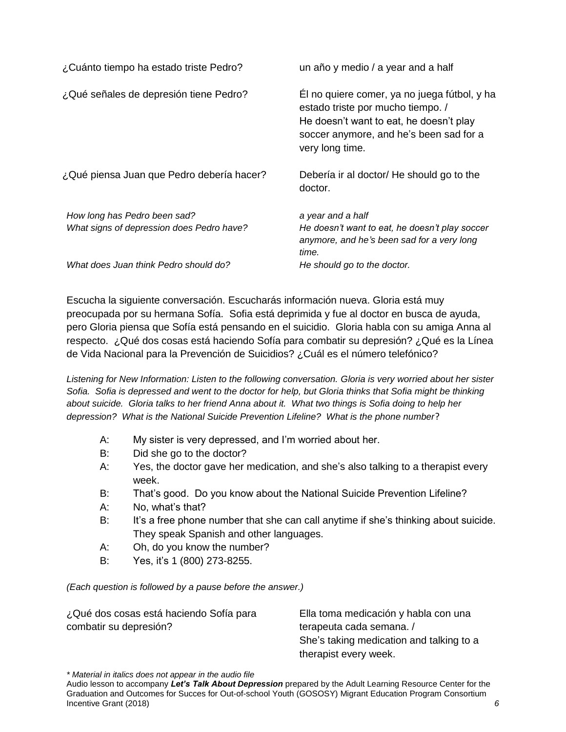| ¿Cuánto tiempo ha estado triste Pedro?                                    | un año y medio / a year and a half                                                                                                                                                         |
|---------------------------------------------------------------------------|--------------------------------------------------------------------------------------------------------------------------------------------------------------------------------------------|
| ¿Qué señales de depresión tiene Pedro?                                    | Él no quiere comer, ya no juega fútbol, y ha<br>estado triste por mucho tiempo. /<br>He doesn't want to eat, he doesn't play<br>soccer anymore, and he's been sad for a<br>very long time. |
| ¿Qué piensa Juan que Pedro debería hacer?                                 | Debería ir al doctor/ He should go to the<br>doctor.                                                                                                                                       |
| How long has Pedro been sad?<br>What signs of depression does Pedro have? | a year and a half<br>He doesn't want to eat, he doesn't play soccer<br>anymore, and he's been sad for a very long<br>time.                                                                 |
| What does Juan think Pedro should do?                                     | He should go to the doctor.                                                                                                                                                                |

Escucha la siguiente conversación. Escucharás información nueva. Gloria está muy preocupada por su hermana Sofía. Sofia está deprimida y fue al doctor en busca de ayuda, pero Gloria piensa que Sofía está pensando en el suicidio. Gloria habla con su amiga Anna al respecto. ¿Qué dos cosas está haciendo Sofía para combatir su depresión? ¿Qué es la Línea de Vida Nacional para la Prevención de Suicidios? ¿Cuál es el número telefónico?

*Listening for New Information: Listen to the following conversation. Gloria is very worried about her sister Sofia. Sofia is depressed and went to the doctor for help, but Gloria thinks that Sofia might be thinking about suicide. Gloria talks to her friend Anna about it. What two things is Sofia doing to help her depression? What is the National Suicide Prevention Lifeline? What is the phone number*?

- A: My sister is very depressed, and I'm worried about her.
- B: Did she go to the doctor?
- A: Yes, the doctor gave her medication, and she's also talking to a therapist every week.
- B: That's good. Do you know about the National Suicide Prevention Lifeline?
- A: No, what's that?
- B: It's a free phone number that she can call anytime if she's thinking about suicide. They speak Spanish and other languages.
- A: Oh, do you know the number?
- B: Yes, it's 1 (800) 273-8255.

*(Each question is followed by a pause before the answer.)*

| ¿Qué dos cosas está haciendo Sofía para | Ella toma medicación y habla con una     |
|-----------------------------------------|------------------------------------------|
| combatir su depresión?                  | terapeuta cada semana. /                 |
|                                         | She's taking medication and talking to a |
|                                         | therapist every week.                    |

*\* Material in italics does not appear in the audio file*